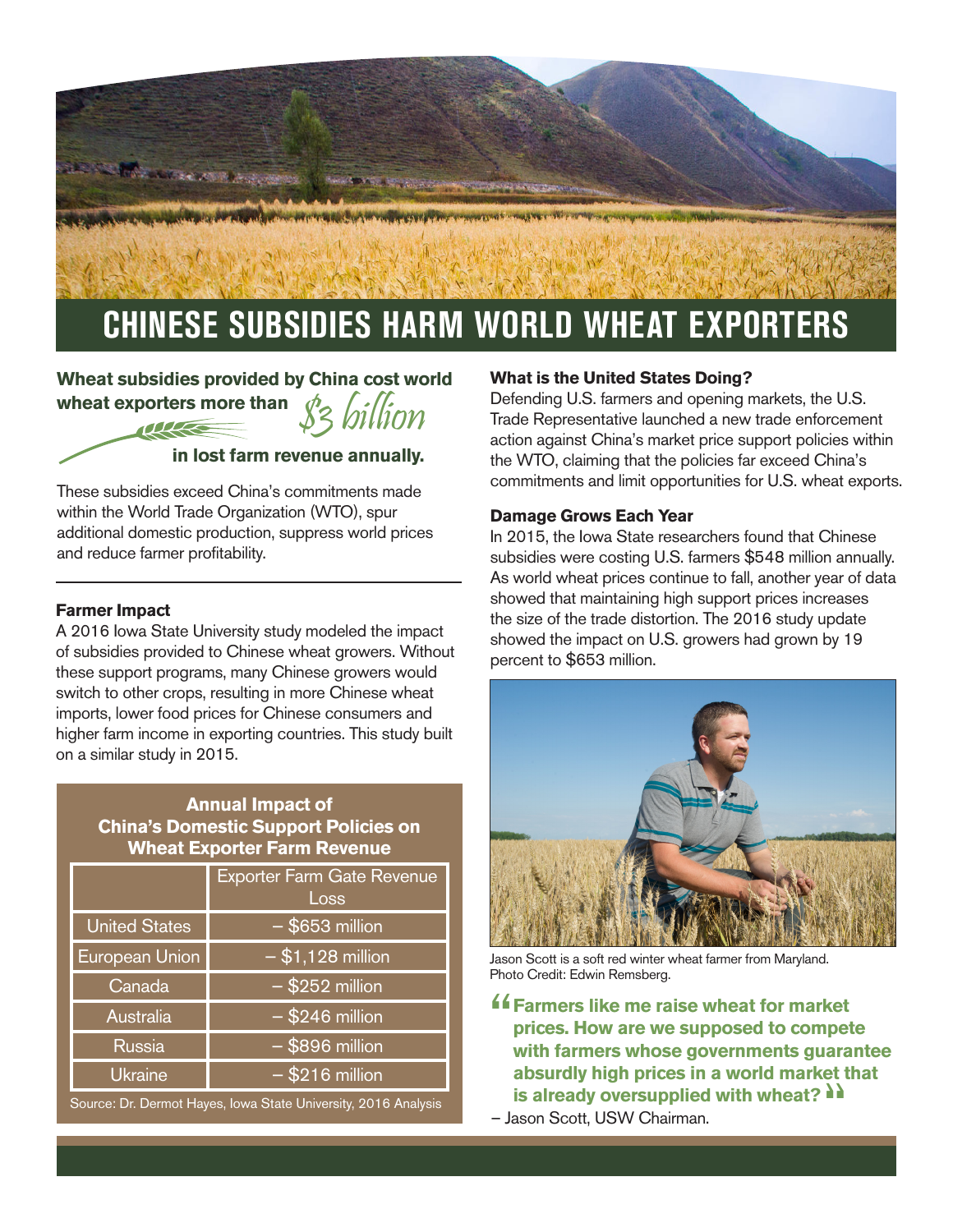

## **Wheat subsidies provided by China cost world wheat exporters more than**  \$3 billion

#### **in lost farm revenue annually.**

within the World Trade Organization (WTO), spur additional domestic production, suppress world prices and reduce farmer profitability.

#### **Farmer Impact**

A 2016 Iowa State University study modeled the impact of subsidies provided to Chinese wheat growers. Without these support programs, many Chinese growers would switch to other crops, resulting in more Chinese wheat imports, lower food prices for Chinese consumers and higher farm income in exporting countries. This study built on a similar study in 2015.

### **Annual Impact of China's Domestic Support Policies on Wheat Exporter Farm Revenue**

|                      | <b>Exporter Farm Gate Revenue</b><br>Loss |
|----------------------|-------------------------------------------|
| <b>United States</b> | $-$ \$653 million                         |
| European Union       | $- $1,128$ million                        |
| Canada               | $-$ \$252 million                         |
| Australia            | $-$ \$246 million                         |
| <b>Russia</b>        | $-$ \$896 million                         |
| <b>Ukraine</b>       | $-$ \$216 million                         |

Source: Dr. Dermot Hayes, Iowa State University, 2016 Analysis

#### **What is the United States Doing?**

Defending U.S. farmers and opening markets, the U.S. Trade Representative launched a new trade enforcement action against China's market price support policies within the WTO, claiming that the policies far exceed China's commitments and limit opportunities for U.S. wheat exports. These subsidies exceed China's commitments made

#### **Damage Grows Each Year**

In 2015, the Iowa State researchers found that Chinese subsidies were costing U.S. farmers \$548 million annually. As world wheat prices continue to fall, another year of data showed that maintaining high support prices increases the size of the trade distortion. The 2016 study update showed the impact on U.S. growers had grown by 19 percent to \$653 million.



Jason Scott is a soft red winter wheat farmer from Maryland. Photo Credit: Edwin Remsberg.

- **f** Farmers like me raise wheat for market<br>prices. How are we supposed to compet **prices. How are we supposed to compete with farmers whose governments guarantee absurdly high prices in a world market that is already oversupplied with wheat?**  $\lambda$
- Jason Scott, USW Chairman.